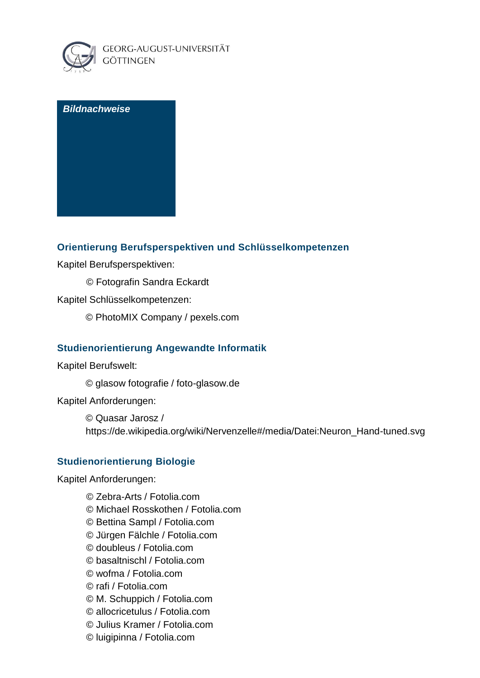

### *Bildnachweise*

### **Orientierung Berufsperspektiven und Schlüsselkompetenzen**

Kapitel Berufsperspektiven:

© Fotografin Sandra Eckardt

Kapitel Schlüsselkompetenzen:

© PhotoMIX Company / pexels.com

### **Studienorientierung Angewandte Informatik**

Kapitel Berufswelt:

© glasow fotografie / foto-glasow.de

Kapitel Anforderungen:

© [Quasar Jarosz](https://en.wikipedia.org/wiki/User:Quasar_Jarosz) / [https://de.wikipedia.org/wiki/Nervenzelle#/media/Datei:Neuron\\_Hand-tuned.svg](https://de.wikipedia.org/wiki/Nervenzelle#/media/Datei:Neuron_Hand-tuned.svg)

## **Studienorientierung Biologie**

Kapitel Anforderungen:

© Zebra-Arts / Fotolia.com © Michael Rosskothen / Fotolia.com © Bettina Sampl / Fotolia.com © Jürgen Fälchle / Fotolia.com © doubleus / Fotolia.com © basaltnischl / Fotolia.com © wofma / Fotolia.com © rafi / Fotolia.com © M. Schuppich / Fotolia.com © allocricetulus / Fotolia.com © Julius Kramer / Fotolia.com © luigipinna / Fotolia.com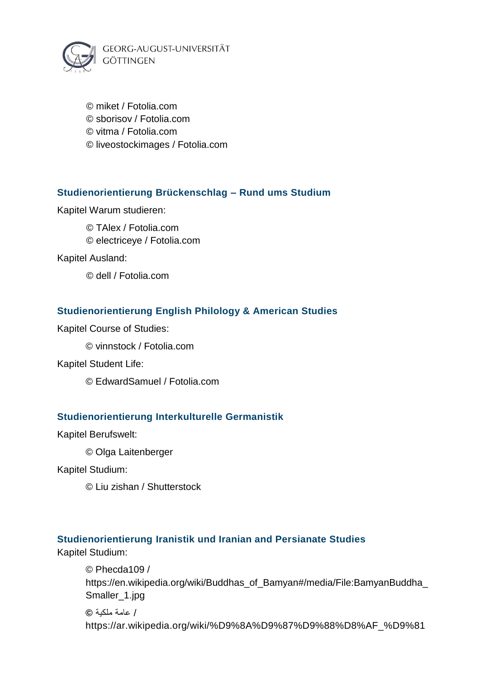

© miket / Fotolia.com © sborisov / Fotolia.com © vitma / Fotolia.com © liveostockimages / Fotolia.com

## **Studienorientierung Brückenschlag – Rund ums Studium**

Kapitel Warum studieren:

© TAlex / Fotolia.com © electriceye / Fotolia.com

Kapitel Ausland:

© dell / Fotolia.com

### **Studienorientierung English Philology & American Studies**

Kapitel Course of Studies:

© vinnstock / Fotolia.com

#### Kapitel Student Life:

© EdwardSamuel / Fotolia.com

### **Studienorientierung Interkulturelle Germanistik**

Kapitel Berufswelt:

© Olga Laitenberger

Kapitel Studium:

© Liu zishan / Shutterstock

### **Studienorientierung Iranistik und Iranian and Persianate Studies**

Kapitel Studium:

© Phecda109 / https://en.wikipedia.org/wiki/Buddhas\_of\_Bamyan#/media/File:BamyanBuddha\_ Smaller\_1.jpg / عامة ملكية **©**

https://ar.wikipedia.org/wiki/%D9%8A%D9%87%D9%88%D8%AF\_%D9%81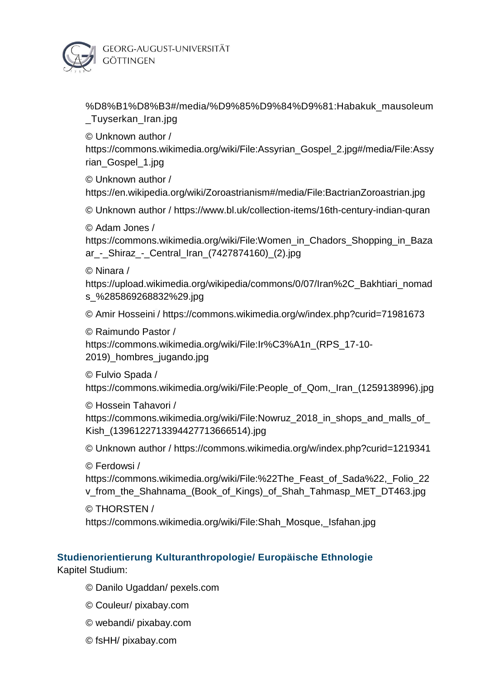

%D8%B1%D8%B3#/media/%D9%85%D9%84%D9%81:Habakuk\_mausoleum \_Tuyserkan\_Iran.jpg

© Unknown author /

https://commons.wikimedia.org/wiki/File:Assyrian\_Gospel\_2.jpg#/media/File:Assy rian\_Gospel\_1.jpg

© Unknown author / https://en.wikipedia.org/wiki/Zoroastrianism#/media/File:BactrianZoroastrian.jpg

© Unknown author / https://www.bl.uk/collection-items/16th-century-indian-quran

© Adam Jones /

https://commons.wikimedia.org/wiki/File:Women\_in\_Chadors\_Shopping\_in\_Baza ar\_-\_Shiraz\_-\_Central\_Iran\_(7427874160)\_(2).jpg

© Ninara /

https://upload.wikimedia.org/wikipedia/commons/0/07/Iran%2C\_Bakhtiari\_nomad s\_%285869268832%29.jpg

© Amir Hosseini / https://commons.wikimedia.org/w/index.php?curid=71981673

© Raimundo Pastor /

https://commons.wikimedia.org/wiki/File:Ir%C3%A1n\_(RPS\_17-10- 2019)\_hombres\_jugando.jpg

© Fulvio Spada /

https://commons.wikimedia.org/wiki/File:People\_of\_Qom,\_Iran\_(1259138996).jpg

© Hossein Tahavori / https://commons.wikimedia.org/wiki/File:Nowruz\_2018\_in\_shops\_and\_malls\_of\_ Kish\_(1396122713394427713666514).jpg

© Unknown author / https://commons.wikimedia.org/w/index.php?curid=1219341

© Ferdowsi /

https://commons.wikimedia.org/wiki/File:%22The\_Feast\_of\_Sada%22,\_Folio\_22 v\_from\_the\_Shahnama\_(Book\_of\_Kings)\_of\_Shah\_Tahmasp\_MET\_DT463.jpg

© THORSTEN /

https://commons.wikimedia.org/wiki/File:Shah\_Mosque,\_Isfahan.jpg

# **Studienorientierung Kulturanthropologie/ Europäische Ethnologie**

Kapitel Studium:

- © Danilo Ugaddan/ pexels.com
- © Couleur/ pixabay.com
- © webandi/ pixabay.com
- © fsHH/ pixabay.com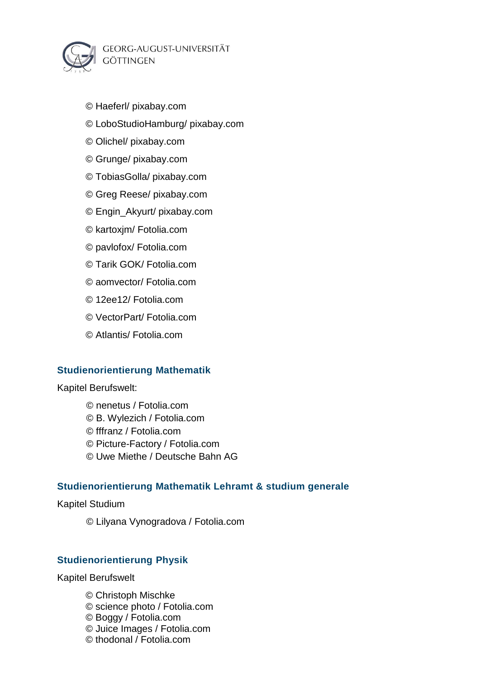GEORG-AUGUST-UNIVERSITÄT **GÖTTINGEN** 



- © Haeferl/ pixabay.com
- © LoboStudioHamburg/ pixabay.com
- © Olichel/ pixabay.com
- © Grunge/ pixabay.com
- © TobiasGolla/ pixabay.com
- © Greg Reese/ pixabay.com
- © Engin\_Akyurt/ pixabay.com
- © kartoxjm/ Fotolia.com
- © pavlofox/ Fotolia.com
- © Tarik GOK/ Fotolia.com
- © aomvector/ Fotolia.com
- © 12ee12/ Fotolia.com
- © VectorPart/ Fotolia.com
- © Atlantis/ Fotolia.com

## **Studienorientierung Mathematik**

Kapitel Berufswelt:

© nenetus / Fotolia.com © B. Wylezich / Fotolia.com © fffranz / Fotolia.com © Picture-Factory / Fotolia.com © Uwe Miethe / Deutsche Bahn AG

## **Studienorientierung Mathematik Lehramt & studium generale**

Kapitel Studium

© Lilyana Vynogradova / Fotolia.com

## **Studienorientierung Physik**

Kapitel Berufswelt

© Christoph Mischke © science photo / Fotolia.com

- © Boggy / Fotolia.com
- © Juice Images / Fotolia.com
- © thodonal / Fotolia.com